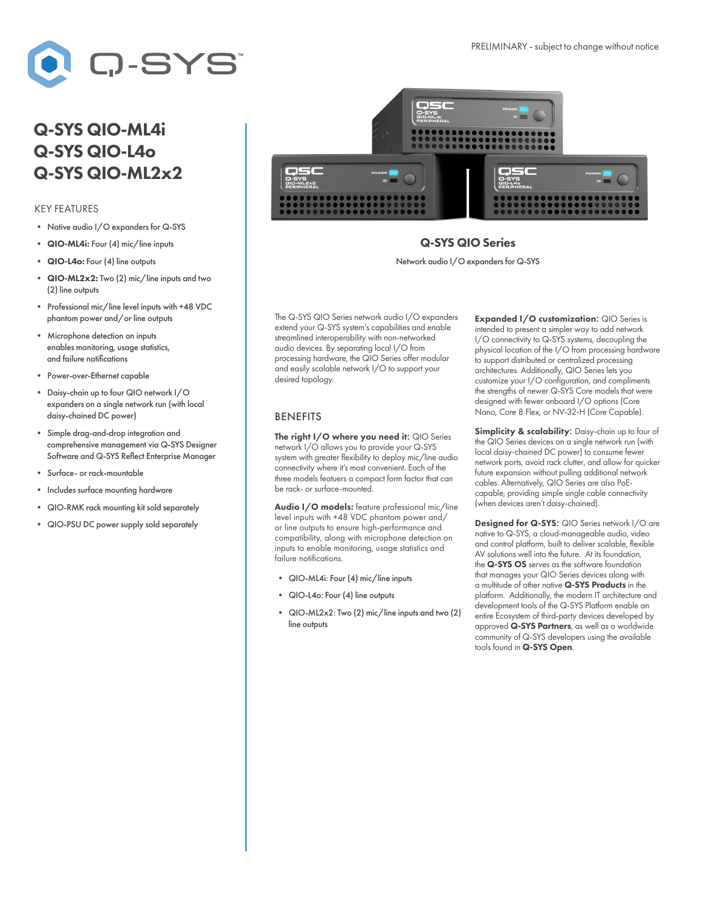

## Q-SYS QIO-ML4i Q-SYS QIO-L4o Q-SYS QIO-ML2x2

## KEY FEATURES

- Native audio I/O expanders for Q-SYS
- QIO-ML4i: Four (4) mic/line inputs
- QIO-L4o: Four (4) line outputs
- QIO-ML2x2: Two (2) mic/line inputs and two (2) line outputs
- Professional mic/line level inputs with +48 VDC phantom power and/or line outputs
- Microphone detection on inputs enables monitoring, usage statistics, and failure notifications
- Power-over-Ethernet capable
- Daisy-chain up to four QIO network I/O expanders on a single network run (with local daisy-chained DC power)
- Simple drag-and-drop integration and comprehensive management via Q-SYS Designer Software and Q-SYS Reflect Enterprise Manager
- Surface- or rack-mountable
- Includes surface mounting hardware
- QIO-RMK rack mounting kit sold separately
- QIO-PSU DC power supply sold separately



## Q-SYS QIO Series

Network audio I/O expanders for Q-SYS

The Q-SYS QIO Series network audio I/O expanders extend your Q-SYS system's capabilities and enable streamlined interoperability with non-networked audio devices. By separating local I/O from processing hardware, the QIO Series offer modular and easily scalable network I/O to support your desired topology.

## BENEFITS

The right I/O where you need it: QIO Series network I/O allows you to provide your Q-SYS system with greater flexibility to deploy mic/line audio connectivity where it's most convenient. Each of the three models featuers a compact form factor that can be rack- or surface-mounted.

Audio I/O models: feature professional mic/line level inputs with +48 VDC phantom power and/ or line outputs to ensure high-performance and compatibility, along with microphone detection on inputs to enable monitoring, usage statistics and failure notifications.

- QIO-ML4i: Four (4) mic/line inputs
- QIO-L4o: Four (4) line outputs
- QIO-ML2x2: Two (2) mic/line inputs and two (2) line outputs

Expanded I/O customization: QIO Series is intended to present a simpler way to add network I/O connectivity to Q-SYS systems, decoupling the physical location of the I/O from processing hardware to support distributed or centralized processing architectures. Additionally, QIO Series lets you customize your I/O configuration, and compliments the strengths of newer Q-SYS Core models that were designed with fewer onboard I/O options (Core Nano, Core 8 Flex, or NV-32-H (Core Capable).

Simplicity & scalability: Daisy-chain up to four of the QIO Series devices on a single network run (with local daisy-chained DC power) to consume fewer network ports, avoid rack clutter, and allow for quicker future expansion without pulling additional network cables. Alternatively, QIO Series are also PoEcapable, providing simple single cable connectivity (when devices aren't daisy-chained).

Designed for Q-SYS: QIO Series network I/O are native to Q-SYS, a cloud-manageable audio, video and control platform, built to deliver scalable, flexible AV solutions well into the future. At its foundation, the Q-SYS OS serves as the software foundation that manages your QIO Series devices along with a multitude of other native Q-SYS Products in the platform. Additionally, the modern IT architecture and development tools of the Q-SYS Platform enable an entire Ecosystem of third-party devices developed by approved Q-SYS Partners, as well as a worldwide community of Q-SYS developers using the available tools found in Q-SYS Open.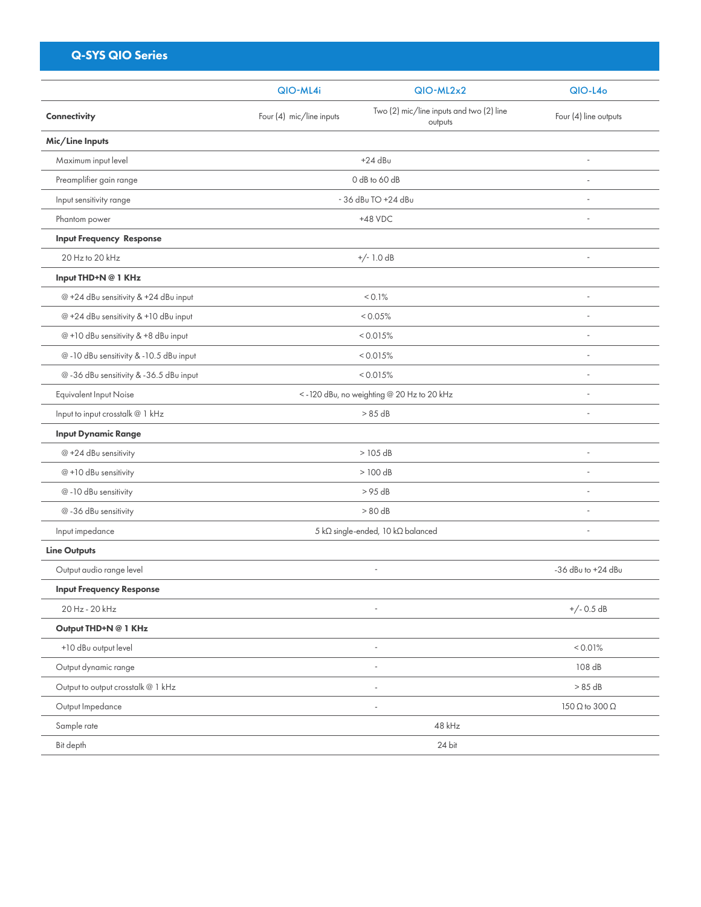| <b>Q-SYS QIO Series</b>                |                                           |                                                     |                              |
|----------------------------------------|-------------------------------------------|-----------------------------------------------------|------------------------------|
|                                        | QIO-ML4i                                  | $QIO-ML2x2$                                         | $QIO-L4o$                    |
| Connectivity                           | Four (4) mic/line inputs                  | Two (2) mic/line inputs and two (2) line<br>outputs | Four (4) line outputs        |
| Mic/Line Inputs                        |                                           |                                                     |                              |
| Maximum input level                    |                                           | $+24$ dBu                                           |                              |
| Preamplifier gain range                | 0 dB to 60 dB                             |                                                     |                              |
| Input sensitivity range                | - 36 dBu TO +24 dBu                       |                                                     |                              |
| Phantom power                          | $+48$ VDC                                 |                                                     | ÷.                           |
| <b>Input Frequency Response</b>        |                                           |                                                     |                              |
| 20 Hz to 20 kHz                        |                                           | $+/- 1.0 dB$                                        | $\sim$                       |
| Input THD+N @ 1 KHz                    |                                           |                                                     |                              |
| @ +24 dBu sensitivity & +24 dBu input  |                                           | < 0.1%                                              | ÷.                           |
| @ +24 dBu sensitivity & +10 dBu input  |                                           | < 0.05%                                             |                              |
| @+10 dBu sensitivity & +8 dBu input    | < 0.015%                                  |                                                     | ÷.                           |
| @-10 dBu sensitivity & -10.5 dBu input | < 0.015%                                  |                                                     | ÷,                           |
| @-36 dBu sensitivity &-36.5 dBu input  | < 0.015%                                  |                                                     |                              |
| Equivalent Input Noise                 | <-120 dBu, no weighting @ 20 Hz to 20 kHz |                                                     | ÷.                           |
| Input to input crosstalk @ 1 kHz       |                                           | > 85 dB                                             | $\sim$                       |
| <b>Input Dynamic Range</b>             |                                           |                                                     |                              |
| @ +24 dBu sensitivity                  |                                           | $>105$ dB                                           | ÷.                           |
| @+10 dBu sensitivity                   |                                           | > 100 dB                                            | ÷.                           |
| @-10 dBu sensitivity                   |                                           | > 95 dB                                             | ÷.                           |
| @-36 dBu sensitivity                   |                                           | > 80 dB                                             | ÷.                           |
| Input impedance                        |                                           | 5 kΩ single-ended, 10 kΩ balanced                   | ×,                           |
| <b>Line Outputs</b>                    |                                           |                                                     |                              |
| Output audio range level               |                                           | $\sim$                                              | -36 dBu to +24 dBu           |
| <b>Input Frequency Response</b>        |                                           |                                                     |                              |
| 20 Hz - 20 kHz                         |                                           |                                                     | $+/- 0.5 dB$                 |
| Output THD+N @ 1 KHz                   |                                           |                                                     |                              |
| +10 dBu output level                   |                                           |                                                     | < 0.01%                      |
| Output dynamic range                   |                                           |                                                     | 108 dB                       |
| Output to output crosstalk @ 1 kHz     |                                           |                                                     |                              |
| Output Impedance                       |                                           | i,                                                  | $150 \Omega$ to $300 \Omega$ |
| Sample rate                            | 48 kHz                                    |                                                     |                              |
| Bit depth                              |                                           | 24 bit                                              |                              |